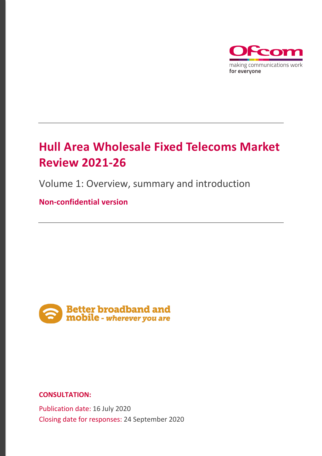

# **Hull Area Wholesale Fixed Telecoms Market Review 2021-26**

Volume 1: Overview, summary and introduction

**Non-confidential version** 



**CONSULTATION:**

Publication date: 16 July 2020 Closing date for responses: 24 September 2020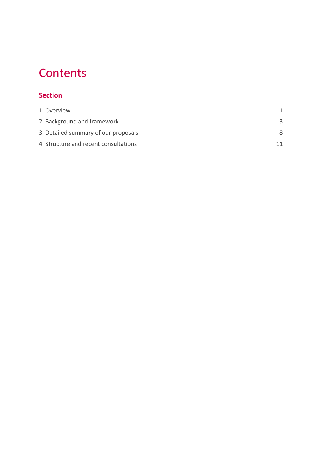# **Contents**

## **Section**

| 1. Overview                           |    |
|---------------------------------------|----|
| 2. Background and framework           |    |
| 3. Detailed summary of our proposals  | 8  |
| 4. Structure and recent consultations | 11 |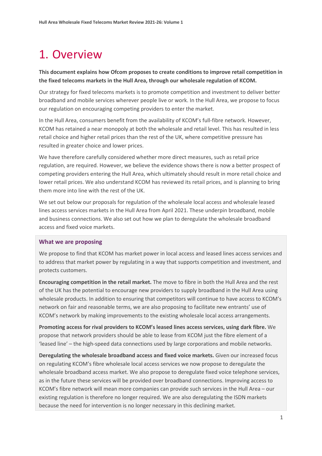# <span id="page-2-0"></span>1. Overview

**This document explains how Ofcom proposes to create conditions to improve retail competition in the fixed telecoms markets in the Hull Area, through our wholesale regulation of KCOM.**

Our strategy for fixed telecoms markets is to promote competition and investment to deliver better broadband and mobile services wherever people live or work. In the Hull Area, we propose to focus our regulation on encouraging competing providers to enter the market.

In the Hull Area, consumers benefit from the availability of KCOM's full-fibre network. However, KCOM has retained a near monopoly at both the wholesale and retail level. This has resulted in less retail choice and higher retail prices than the rest of the UK, where competitive pressure has resulted in greater choice and lower prices.

We have therefore carefully considered whether more direct measures, such as retail price regulation, are required. However, we believe the evidence shows there is now a better prospect of competing providers entering the Hull Area, which ultimately should result in more retail choice and lower retail prices. We also understand KCOM has reviewed its retail prices, and is planning to bring them more into line with the rest of the UK.

We set out below our proposals for regulation of the wholesale local access and wholesale leased lines access services markets in the Hull Area from April 2021. These underpin broadband, mobile and business connections. We also set out how we plan to deregulate the wholesale broadband access and fixed voice markets.

#### **What we are proposing**

We propose to find that KCOM has market power in local access and leased lines access services and to address that market power by regulating in a way that supports competition and investment, and protects customers.

**Encouraging competition in the retail market.** The move to fibre in both the Hull Area and the rest of the UK has the potential to encourage new providers to supply broadband in the Hull Area using wholesale products. In addition to ensuring that competitors will continue to have access to KCOM's network on fair and reasonable terms, we are also proposing to facilitate new entrants' use of KCOM's network by making improvements to the existing wholesale local access arrangements.

**Promoting access for rival providers to KCOM's leased lines access services, using dark fibre.** We propose that network providers should be able to lease from KCOM just the fibre element of a 'leased line' – the high-speed data connections used by large corporations and mobile networks.

**Deregulating the wholesale broadband access and fixed voice markets.** Given our increased focus on regulating KCOM's fibre wholesale local access services we now propose to deregulate the wholesale broadband access market. We also propose to deregulate fixed voice telephone services, as in the future these services will be provided over broadband connections. Improving access to KCOM's fibre network will mean more companies can provide such services in the Hull Area – our existing regulation is therefore no longer required. We are also deregulating the ISDN markets because the need for intervention is no longer necessary in this declining market.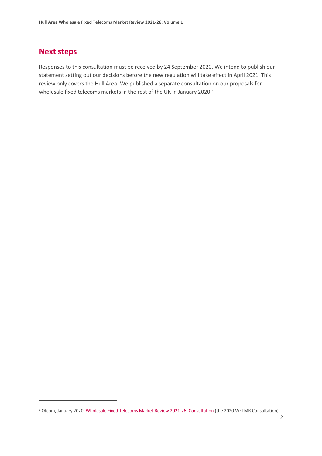## **Next steps**

Responses to this consultation must be received by 24 September 2020. We intend to publish our statement setting out our decisions before the new regulation will take effect in April 2021. This review only covers the Hull Area. We published a separate consultation on our proposals for wholesale fixed telecoms markets in the rest of the UK in January 2020.<sup>[1](#page-3-0)</sup>

<span id="page-3-0"></span><sup>&</sup>lt;sup>1</sup> Ofcom, January 2020[. Wholesale Fixed Telecoms Market Review 2021-26: Consultation](https://www.ofcom.org.uk/consultations-and-statements/category-1/2021-26-wholesale-fixed-telecoms-market-review) (the 2020 WFTMR Consultation).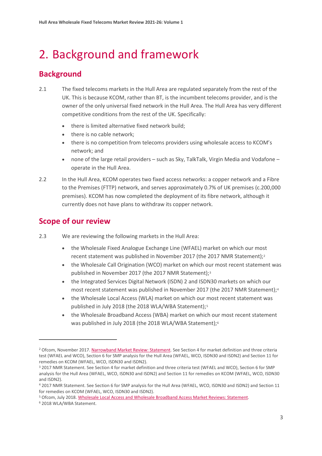# <span id="page-4-0"></span>2. Background and framework

## **Background**

- 2.1 The fixed telecoms markets in the Hull Area are regulated separately from the rest of the UK. This is because KCOM, rather than BT, is the incumbent telecoms provider, and is the owner of the only universal fixed network in the Hull Area. The Hull Area has very different competitive conditions from the rest of the UK. Specifically:
	- there is limited alternative fixed network build;
	- there is no cable network;
	- there is no competition from telecoms providers using wholesale access to KCOM's network; and
	- none of the large retail providers such as Sky, TalkTalk, Virgin Media and Vodafone operate in the Hull Area.
- 2.2 In the Hull Area, KCOM operates two fixed access networks: a copper network and a Fibre to the Premises (FTTP) network, and serves approximately 0.7% of UK premises (c.200,000 premises). KCOM has now completed the deployment of its fibre network, although it currently does not have plans to withdraw its copper network.

## **Scope of our review**

- 2.3 We are reviewing the following markets in the Hull Area:
	- the Wholesale Fixed Analogue Exchange Line (WFAEL) market on which our most recent statement was published in November [2](#page-4-1)017 (the 2017 NMR Statement);<sup>2</sup>
	- the Wholesale Call Origination (WCO) market on which our most recent statement was published in November 2017 (the 2017 NMR Statement);<sup>[3](#page-4-2)</sup>
	- the Integrated Services Digital Network (ISDN) 2 and ISDN30 markets on which our most recent statement was published in November 2017 (the 2017 NMR Statement);[4](#page-4-3)
	- the Wholesale Local Access (WLA) market on which our most recent statement was published in July 2018 (the 2018 WLA/WBA Statement);<sup>[5](#page-4-4)</sup>
	- the Wholesale Broadband Access (WBA) market on which our most recent statement was published in July 2018 (the 2018 WLA/WBA Statement);<sup>[6](#page-4-5)</sup>

<span id="page-4-1"></span><sup>&</sup>lt;sup>2</sup> Ofcom, November 2017. [Narrowband Market Review: Statement.](https://www.ofcom.org.uk/__data/assets/pdf_file/0020/108353/final-statement-narrowband-market-review.pdf) See Section 4 for market definition and three criteria test (WFAEL and WCO), Section 6 for SMP analysis for the Hull Area (WFAEL, WCO, ISDN30 and ISDN2) and Section 11 for remedies on KCOM (WFAEL, WCO, ISDN30 and ISDN2).

<span id="page-4-2"></span><sup>3</sup> 2017 NMR Statement. See Section 4 for market definition and three criteria test (WFAEL and WCO), Section 6 for SMP analysis for the Hull Area (WFAEL, WCO, ISDN30 and ISDN2) and Section 11 for remedies on KCOM (WFAEL, WCO, ISDN30 and ISDN2).

<span id="page-4-3"></span><sup>4</sup> 2017 NMR Statement. See Section 6 for SMP analysis for the Hull Area (WFAEL, WCO, ISDN30 and ISDN2) and Section 11 for remedies on KCOM (WFAEL, WCO, ISDN30 and ISDN2).

<span id="page-4-5"></span><span id="page-4-4"></span><sup>5</sup> Ofcom, July 2018[. Wholesale Local Access and Wholesale Broadband Access Market Reviews: Statement.](https://www.ofcom.org.uk/__data/assets/pdf_file/0027/116991/statement-wba-competition-hull.pdf) <sup>6</sup> 2018 WLA/WBA Statement.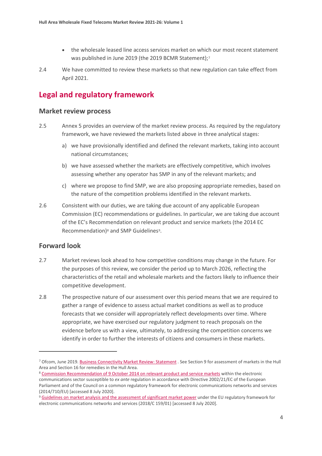- the wholesale leased line access services market on which our most recent statement was published in June 2019 (the 2019 BCMR Statement);<sup>[7](#page-5-0)</sup>
- 2.4 We have committed to review these markets so that new regulation can take effect from April 2021.

## **Legal and regulatory framework**

#### **Market review process**

- 2.5 Annex 5 provides an overview of the market review process. As required by the regulatory framework, we have reviewed the markets listed above in three analytical stages:
	- a) we have provisionally identified and defined the relevant markets, taking into account national circumstances;
	- b) we have assessed whether the markets are effectively competitive, which involves assessing whether any operator has SMP in any of the relevant markets; and
	- c) where we propose to find SMP, we are also proposing appropriate remedies, based on the nature of the competition problems identified in the relevant markets.
- 2.6 Consistent with our duties, we are taking due account of any applicable European Commission (EC) recommendations or guidelines. In particular, we are taking due account of the EC's Recommendation on relevant product and service markets (the 2014 EC Recommendation)<sup>[8](#page-5-1)</sup> and SMP Guidelines<sup>[9](#page-5-2)</sup>.

#### **Forward look**

- 2.7 Market reviews look ahead to how competitive conditions may change in the future. For the purposes of this review, we consider the period up to March 2026, reflecting the characteristics of the retail and wholesale markets and the factors likely to influence their competitive development.
- 2.8 The prospective nature of our assessment over this period means that we are required to gather a range of evidence to assess actual market conditions as well as to produce forecasts that we consider will appropriately reflect developments over time. Where appropriate, we have exercised our regulatory judgment to reach proposals on the evidence before us with a view, ultimately, to addressing the competition concerns we identify in order to further the interests of citizens and consumers in these markets.

<span id="page-5-0"></span><sup>7</sup> Ofcom, June 2019[. Business Connectivity Market Review: Statement](https://www.ofcom.org.uk/__data/assets/pdf_file/0025/154591/volume-2-bcmr-final-statement.pdf) . See Section 9 for assessment of markets in the Hull Area and Section 16 for remedies in the Hull Area.

<span id="page-5-1"></span><sup>8</sup> [Commission Recommendation of 9 October 2014 on relevant product and service markets](https://eur-lex.europa.eu/legal-content/EN/TXT/PDF/?uri=CELEX:32014H0710&from=EN) within the electronic communications sector susceptible to *ex ante* regulation in accordance with Directive 2002/21/EC of the European Parliament and of the Council on a common regulatory framework for electronic communications networks and services (2014/710/EU) [accessed 8 July 2020].

<span id="page-5-2"></span><sup>&</sup>lt;sup>9</sup> [Guidelines on market analysis and the assessment of significant market power](https://eur-lex.europa.eu/legal-content/EN/TXT/?uri=uriserv:OJ.C_.2018.159.01.0001.01.ENG&toc=OJ:C:2018:159:TOC) under the EU regulatory framework for electronic communications networks and services (2018/C 159/01) [accessed 8 July 2020].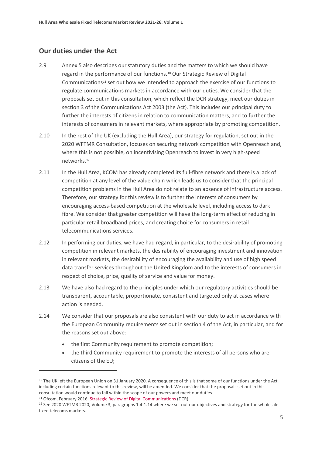#### **Our duties under the Act**

- 2.9 Annex 5 also describes our statutory duties and the matters to which we should have regard in the performance of our functions.[10](#page-6-0) Our Strategic Review of Digital Communications<sup>11</sup> set out how we intended to approach the exercise of our functions to regulate communications markets in accordance with our duties. We consider that the proposals set out in this consultation, which reflect the DCR strategy, meet our duties in section 3 of the Communications Act 2003 (the Act). This includes our principal duty to further the interests of citizens in relation to communication matters, and to further the interests of consumers in relevant markets, where appropriate by promoting competition.
- 2.10 In the rest of the UK (excluding the Hull Area), our strategy for regulation, set out in the 2020 WFTMR Consultation, focuses on securing network competition with Openreach and, where this is not possible, on incentivising Openreach to invest in very high-speed networks.[12](#page-6-2)
- 2.11 In the Hull Area, KCOM has already completed its full-fibre network and there is a lack of competition at any level of the value chain which leads us to consider that the principal competition problems in the Hull Area do not relate to an absence of infrastructure access. Therefore, our strategy for this review is to further the interests of consumers by encouraging access-based competition at the wholesale level, including access to dark fibre. We consider that greater competition will have the long-term effect of reducing in particular retail broadband prices, and creating choice for consumers in retail telecommunications services.
- 2.12 In performing our duties, we have had regard, in particular, to the desirability of promoting competition in relevant markets, the desirability of encouraging investment and innovation in relevant markets, the desirability of encouraging the availability and use of high speed data transfer services throughout the United Kingdom and to the interests of consumers in respect of choice, price, quality of service and value for money.
- 2.13 We have also had regard to the principles under which our regulatory activities should be transparent, accountable, proportionate, consistent and targeted only at cases where action is needed.
- 2.14 We consider that our proposals are also consistent with our duty to act in accordance with the European Community requirements set out in section 4 of the Act, in particular, and for the reasons set out above:
	- the first Community requirement to promote competition;
	- the third Community requirement to promote the interests of all persons who are citizens of the EU;

<span id="page-6-0"></span><sup>&</sup>lt;sup>10</sup> The UK left the European Union on 31 January 2020. A consequence of this is that some of our functions under the Act, including certain functions relevant to this review, will be amended. We consider that the proposals set out in this consultation would continue to fall within the scope of our powers and meet our duties.

<span id="page-6-1"></span><sup>&</sup>lt;sup>11</sup> Ofcom, February 2016. [Strategic Review of Digital Communications](https://www.ofcom.org.uk/__data/assets/pdf_file/0016/50416/dcr-statement.pdf) (DCR).

<span id="page-6-2"></span><sup>12</sup> See 2020 WFTMR 2020, Volume 3, paragraphs 1.4-1.14 where we set out our objectives and strategy for the wholesale fixed telecoms markets.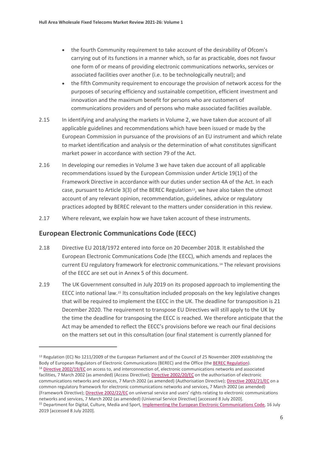- the fourth Community requirement to take account of the desirability of Ofcom's carrying out of its functions in a manner which, so far as practicable, does not favour one form of or means of providing electronic communications networks, services or associated facilities over another (i.e. to be technologically neutral); and
- the fifth Community requirement to encourage the provision of network access for the purposes of securing efficiency and sustainable competition, efficient investment and innovation and the maximum benefit for persons who are customers of communications providers and of persons who make associated facilities available.
- 2.15 In identifying and analysing the markets in Volume 2, we have taken due account of all applicable guidelines and recommendations which have been issued or made by the European Commission in pursuance of the provisions of an EU instrument and which relate to market identification and analysis or the determination of what constitutes significant market power in accordance with section 79 of the Act.
- 2.16 In developing our remedies in Volume 3 we have taken due account of all applicable recommendations issued by the European Commission under Article 19(1) of the Framework Directive in accordance with our duties under section 4A of the Act. In each case, pursuant to Article  $3(3)$  of the BEREC Regulation<sup>13</sup>, we have also taken the utmost account of any relevant opinion, recommendation, guidelines, advice or regulatory practices adopted by BEREC relevant to the matters under consideration in this review.
- 2.17 Where relevant, we explain how we have taken account of these instruments.

#### **European Electronic Communications Code (EECC)**

- 2.18 Directive EU 2018/1972 entered into force on 20 December 2018. It established the European Electronic Communications Code (the EECC), which amends and replaces the current EU regulatory framework for electronic communications[.14](#page-7-1) The relevant provisions of the EECC are set out in Annex 5 of this document.
- 2.19 The UK Government consulted in July 2019 on its proposed approach to implementing the EECC into national law.[15](#page-7-2) Its consultation included proposals on the key legislative changes that will be required to implement the EECC in the UK. The deadline for transposition is 21 December 2020. The requirement to transpose EU Directives will still apply to the UK by the time the deadline for transposing the EECC is reached. We therefore anticipate that the Act may be amended to reflect the EECC's provisions before we reach our final decisions on the matters set out in this consultation (our final statement is currently planned for

common regulatory framework for electronic communications networks and services, 7 March 2002 (as amended) (Framework Directive)[; Directive 2002/22/EC](https://eur-lex.europa.eu/legal-content/en/TXT/?uri=CELEX:32002L0022) on universal service and users' rights relating to electronic communications networks and services, 7 March 2002 (as amended) (Universal Service Directive) [accessed 8 July 2020].

<span id="page-7-1"></span><span id="page-7-0"></span><sup>&</sup>lt;sup>13</sup> Regulation (EC) No 1211/2009 of the European Parliament and of the Council of 25 November 2009 establishing the Body of European Regulators of Electronic Communications (BEREC) and the Office (th[e BEREC Regulation\)](https://eur-lex.europa.eu/LexUriServ/LexUriServ.do?uri=OJ:L:2009:337:0001:0010:EN:PDF). <sup>14</sup> [Directive 2002/19/EC](https://eur-lex.europa.eu/legal-content/EN/TXT/?uri=CELEX:32002L0019) on access to, and interconnection of, electronic communications networks and associated facilities, 7 March 2002 (as amended) (Access Directive); [Directive 2002/20/EC](https://eur-lex.europa.eu/legal-content/EN/TXT/?uri=CELEX:32002L0020) on the authorisation of electronic communications networks and services, 7 March 2002 (as amended) (Authorisation Directive)[; Directive 2002/21/EC](https://eur-lex.europa.eu/legal-content/en/TXT/?uri=CELEX:32002L0021) on a

<span id="page-7-2"></span><sup>&</sup>lt;sup>15</sup> Department for Digital, Culture, Media and Sport, *Implementing the European Electronic Communications Code*, 16 July 2019 [accessed 8 July 2020].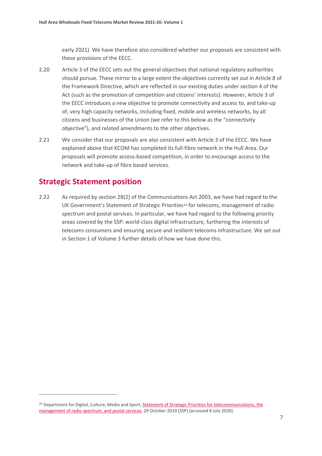early 2021). We have therefore also considered whether our proposals are consistent with these provisions of the EECC.

- 2.20 Article 3 of the EECC sets out the general objectives that national regulatory authorities should pursue. These mirror to a large extent the objectives currently set out in Article 8 of the Framework Directive, which are reflected in our existing duties under section 4 of the Act (such as the promotion of competition and citizens' interests). However, Article 3 of the EECC introduces a new objective to promote connectivity and access to, and take-up of, very high capacity networks, including fixed, mobile and wireless networks, by all citizens and businesses of the Union (we refer to this below as the "connectivity objective"), and related amendments to the other objectives.
- 2.21 We consider that our proposals are also consistent with Article 3 of the EECC. We have explained above that KCOM has completed its full-fibre network in the Hull Area. Our proposals will promote access-based competition, in order to encourage access to the network and take-up of fibre based services.

### **Strategic Statement position**

2.22 As required by section 2B(2) of the Communications Act 2003, we have had regard to the UK Government's Statement of Strategic Priorities<sup>[16](#page-8-0)</sup> for telecoms, management of radio spectrum and postal services. In particular, we have had regard to the following priority areas covered by the SSP: world-class digital infrastructure, furthering the interests of telecoms consumers and ensuring secure and resilient telecoms infrastructure. We set out in Section 1 of Volume 3 further details of how we have done this.

<span id="page-8-0"></span><sup>&</sup>lt;sup>16</sup> Department for Digital, Culture, Media and Sport, Statement of Strategic Priorities for telecommunications, the [management of radio spectrum, and postal services,](https://assets.publishing.service.gov.uk/government/uploads/system/uploads/attachment_data/file/842918/SSP_-_as_designated_by_S_of_S_.pdf) 29 October 2019 (SSP) [accessed 8 July 2020].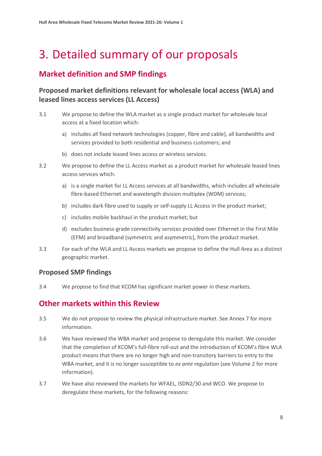# <span id="page-9-0"></span>3. Detailed summary of our proposals

## **Market definition and SMP findings**

### **Proposed market definitions relevant for wholesale local access (WLA) and leased lines access services (LL Access)**

- 3.1 We propose to define the WLA market as a single product market for wholesale local access at a fixed location which:
	- a) includes all fixed network technologies (copper, fibre and cable), all bandwidths and services provided to both residential and business customers; and
	- b) does not include leased lines access or wireless services.
- 3.2 We propose to define the LL Access market as a product market for wholesale leased lines access services which:
	- a) is a single market for LL Access services at all bandwidths, which includes all wholesale fibre-based Ethernet and wavelength division multiplex (WDM) services;
	- b) includes dark fibre used to supply or self-supply LL Access in the product market;
	- c) includes mobile backhaul in the product market; but
	- d) excludes business-grade connectivity services provided over Ethernet in the First Mile (EFM) and broadband (symmetric and asymmetric), from the product market.
- 3.3 For each of the WLA and LL Access markets we propose to define the Hull Area as a distinct geographic market.

#### **Proposed SMP findings**

3.4 We propose to find that KCOM has significant market power in these markets.

## **Other markets within this Review**

- 3.5 We do not propose to review the physical infrastructure market. See Annex 7 for more information.
- 3.6 We have reviewed the WBA market and propose to deregulate this market. We consider that the completion of KCOM's full-fibre roll-out and the introduction of KCOM's fibre WLA product means that there are no longer high and non-transitory barriers to entry to the WBA market, and it is no longer susceptible to *ex ante* regulation (see Volume 2 for more information).
- 3.7 We have also reviewed the markets for WFAEL, ISDN2/30 and WCO. We propose to deregulate these markets, for the following reasons: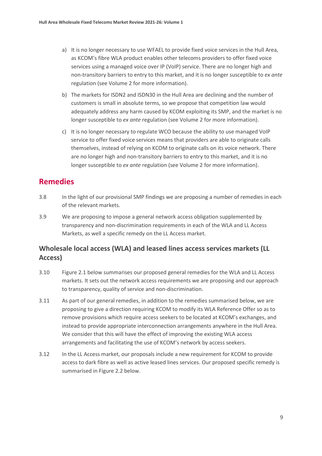- a) It is no longer necessary to use WFAEL to provide fixed voice services in the Hull Area, as KCOM's fibre WLA product enables other telecoms providers to offer fixed voice services using a managed voice over IP (VoIP) service. There are no longer high and non-transitory barriers to entry to this market, and it is no longer susceptible to *ex ante* regulation (see Volume 2 for more information).
- b) The markets for ISDN2 and ISDN30 in the Hull Area are declining and the number of customers is small in absolute terms, so we propose that competition law would adequately address any harm caused by KCOM exploiting its SMP, and the market is no longer susceptible to *ex ante* regulation (see Volume 2 for more information).
- c) It is no longer necessary to regulate WCO because the ability to use managed VoIP service to offer fixed voice services means that providers are able to originate calls themselves, instead of relying on KCOM to originate calls on its voice network. There are no longer high and non-transitory barriers to entry to this market, and it is no longer susceptible to *ex ante* regulation (see Volume 2 for more information).

## **Remedies**

- 3.8 In the light of our provisional SMP findings we are proposing a number of remedies in each of the relevant markets.
- 3.9 We are proposing to impose a general network access obligation supplemented by transparency and non-discrimination requirements in each of the WLA and LL Access Markets, as well a specific remedy on the LL Access market.

### **Wholesale local access (WLA) and leased lines access services markets (LL Access)**

- 3.10 Figure 2.1 below summarises our proposed general remedies for the WLA and LL Access markets. It sets out the network access requirements we are proposing and our approach to transparency, quality of service and non-discrimination.
- 3.11 As part of our general remedies, in addition to the remedies summarised below, we are proposing to give a direction requiring KCOM to modify its WLA Reference Offer so as to remove provisions which require access seekers to be located at KCOM's exchanges, and instead to provide appropriate interconnection arrangements anywhere in the Hull Area. We consider that this will have the effect of improving the existing WLA access arrangements and facilitating the use of KCOM's network by access seekers.
- 3.12 In the LL Access market, our proposals include a new requirement for KCOM to provide access to dark fibre as well as active leased lines services. Our proposed specific remedy is summarised in Figure 2.2 below.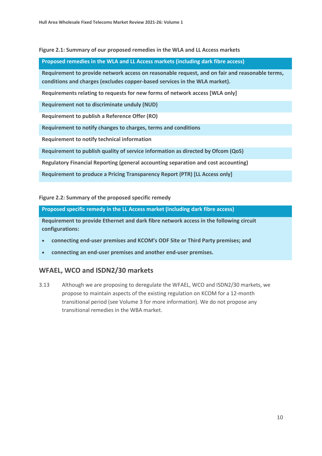#### **Figure 2.1: Summary of our proposed remedies in the WLA and LL Access markets**

#### **Proposed remedies in the WLA and LL Access markets (including dark fibre access)**

**Requirement to provide network access on reasonable request, and on fair and reasonable terms, conditions and charges (excludes copper-based services in the WLA market).**

**Requirements relating to requests for new forms of network access [WLA only]**

**Requirement not to discriminate unduly (NUD)**

**Requirement to publish a Reference Offer (RO)**

**Requirement to notify changes to charges, terms and conditions**

**Requirement to notify technical information**

**Requirement to publish quality of service information as directed by Ofcom (QoS)**

**Regulatory Financial Reporting (general accounting separation and cost accounting)**

**Requirement to produce a Pricing Transparency Report (PTR) [LL Access only]**

**Figure 2.2: Summary of the proposed specific remedy** 

**Proposed specific remedy in the LL Access market (including dark fibre access)**

**Requirement to provide Ethernet and dark fibre network access in the following circuit configurations:**

- **connecting end-user premises and KCOM's ODF Site or Third Party premises; and**
- **connecting an end-user premises and another end-user premises.**

#### **WFAEL, WCO and ISDN2/30 markets**

3.13 Although we are proposing to deregulate the WFAEL, WCO and ISDN2/30 markets, we propose to maintain aspects of the existing regulation on KCOM for a 12-month transitional period (see Volume 3 for more information). We do not propose any transitional remedies in the WBA market.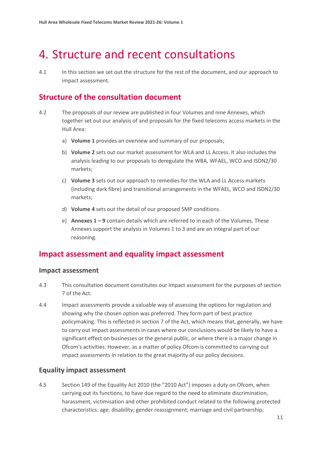# <span id="page-12-0"></span>4. Structure and recent consultations

4.1 In this section we set out the structure for the rest of the document, and our approach to impact assessment.

## **Structure of the consultation document**

- 4.2 The proposals of our review are published in four Volumes and nine Annexes, which together set out our analysis of and proposals for the fixed telecoms access markets in the Hull Area:
	- a) **Volume 1** provides an overview and summary of our proposals;
	- b) **Volume 2** sets out our market assessment for WLA and LL Access. It also includes the analysis leading to our proposals to deregulate the WBA, WFAEL, WCO and ISDN2/30 markets;
	- c) **Volume 3** sets out our approach to remedies for the WLA and LL Access markets (including dark fibre) and transitional arrangements in the WFAEL, WCO and ISDN2/30 markets;
	- d) **Volume 4** sets out the detail of our proposed SMP conditions.
	- e) **Annexes 1 – 9** contain details which are referred to in each of the Volumes. These Annexes support the analysis in Volumes 1 to 3 and are an integral part of our reasoning.

## **Impact assessment and equality impact assessment**

#### **Impact assessment**

- 4.3 This consultation document constitutes our impact assessment for the purposes of section 7 of the Act.
- 4.4 Impact assessments provide a valuable way of assessing the options for regulation and showing why the chosen option was preferred. They form part of best practice policymaking. This is reflected in section 7 of the Act, which means that, generally, we have to carry out impact assessments in cases where our conclusions would be likely to have a significant effect on businesses or the general public, or where there is a major change in Ofcom's activities. However, as a matter of policy Ofcom is committed to carrying out impact assessments in relation to the great majority of our policy decisions.

#### **Equality impact assessment**

4.5 Section 149 of the Equality Act 2010 (the "2010 Act") imposes a duty on Ofcom, when carrying out its functions, to have due regard to the need to eliminate discrimination, harassment, victimisation and other prohibited conduct related to the following protected characteristics: age; disability; gender reassignment; marriage and civil partnership;